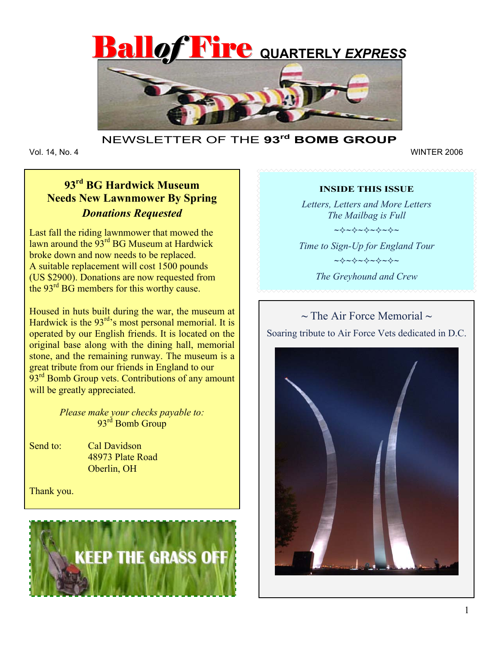



## NEWSLETTER OF THE **93rd BOMB GROUP**

Vol. 14, No. 4

Vol. 14, No. 4 WINTER 2006

# **93rd BG Hardwick Museum Needs New Lawnmower By Spring**  *Donations Requested*

Last fall the riding lawnmower that mowed the lawn around the 93<sup>rd</sup> BG Museum at Hardwick broke down and now needs to be replaced. A suitable replacement will cost 1500 pounds (US \$2900). Donations are now requested from the 93<sup>rd</sup> BG members for this worthy cause.

Housed in huts built during the war, the museum at Hardwick is the 93<sup>rd</sup>'s most personal memorial. It is operated by our English friends. It is located on the original base along with the dining hall, memorial stone, and the remaining runway. The museum is a great tribute from our friends in England to our  $93<sup>rd</sup>$  Bomb Group vets. Contributions of any amount will be greatly appreciated.

> *Please make your checks payable to:*  93<sup>rd</sup> Bomb Group

Send to: Cal Davidson 48973 Plate Road Oberlin, OH

Thank you.



#### **INSIDE THIS ISSUE**

*Letters, Letters and More Letters The Mailbag is Full*  ~~~~~~

*Time to Sign-Up for England Tour*  ~~~~~~ *The Greyhound and Crew* 

**~** The Air Force Memorial **~** Soaring tribute to Air Force Vets dedicated in D.C.

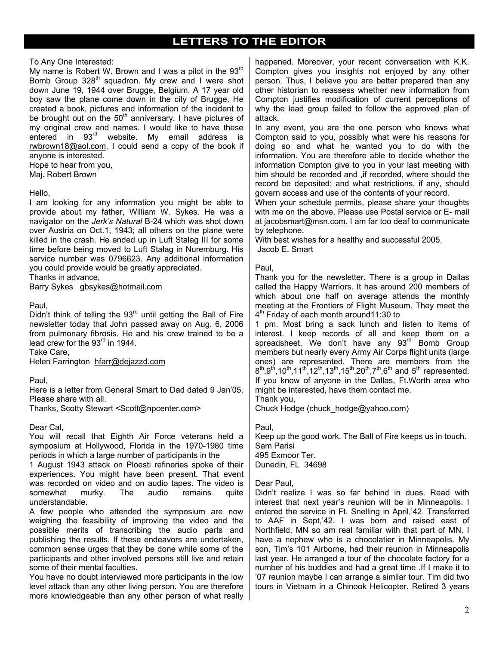## **LETTERS TO THE EDITOR**

To Any One Interested:

My name is Robert W. Brown and I was a pilot in the 93rd Bomb Group 328<sup>th</sup> squadron. My crew and I were shot down June 19, 1944 over Brugge, Belgium. A 17 year old boy saw the plane come down in the city of Brugge. He created a book, pictures and information of the incident to be brought out on the  $50<sup>th</sup>$  anniversary. I have pictures of my original crew and names. I would like to have these entered in 93<sup>rd</sup> website. My email address is rwbrown18@aol.com. I could send a copy of the book if anyone is interested.

Hope to hear from you,

Maj. Robert Brown

#### Hello,

I am looking for any information you might be able to provide about my father, William W. Sykes. He was a navigator on the *Jerk's Natural* B-24 which was shot down over Austria on Oct.1, 1943; all others on the plane were killed in the crash. He ended up in Luft Stalag III for some time before being moved to Luft Stalag in Nuremburg. His service number was 0796623. Any additional information you could provide would be greatly appreciated.

Thanks in advance,

Barry Sykes gbsykes@hotmail.com

#### Paul,

Didn't think of telling the  $93<sup>rd</sup>$  until getting the Ball of Fire newsletter today that John passed away on Aug. 6, 2006 from pulmonary fibrosis. He and his crew trained to be a lead crew for the 93<sup>rd</sup> in 1944.

Take Care,

Helen Farrington hfarr@dejazzd.com

Paul,

Here is a letter from General Smart to Dad dated 9 Jan'05. Please share with all.

Thanks, Scotty Stewart <Scott@npcenter.com>

#### Dear Cal,

You will recall that Eighth Air Force veterans held a symposium at Hollywood, Florida in the 1970-1980 time periods in which a large number of participants in the

1 August 1943 attack on Ploesti refineries spoke of their experiences. You might have been present. That event was recorded on video and on audio tapes. The video is somewhat murky. The audio remains quite understandable.

A few people who attended the symposium are now weighing the feasibility of improving the video and the possible merits of transcribing the audio parts and publishing the results. If these endeavors are undertaken, common sense urges that they be done while some of the participants and other involved persons still live and retain some of their mental faculties.

You have no doubt interviewed more participants in the low level attack than any other living person. You are therefore more knowledgeable than any other person of what really happened. Moreover, your recent conversation with K.K. Compton gives you insights not enjoyed by any other person. Thus, I believe you are better prepared than any other historian to reassess whether new information from Compton justifies modification of current perceptions of why the lead group failed to follow the approved plan of attack.

In any event, you are the one person who knows what Compton said to you, possibly what were his reasons for doing so and what he wanted you to do with the information. You are therefore able to decide whether the information Compton give to you in your last meeting with him should be recorded and ,if recorded, where should the record be deposited; and what restrictions, if any, should govern access and use of the contents of your record.

When your schedule permits, please share your thoughts with me on the above. Please use Postal service or E- mail at jacobsmart@msn.com. I am far too deaf to communicate by telephone.

With best wishes for a healthy and successful 2005, Jacob E. Smart

#### Paul,

Thank you for the newsletter. There is a group in Dallas called the Happy Warriors. It has around 200 members of which about one half on average attends the monthly meeting at the Frontiers of Flight Museum. They meet the 4<sup>th</sup> Friday of each month around11:30 to

1 pm. Most bring a sack lunch and listen to items of interest. I keep records of all and keep them on a spreadsheet. We don't have any  $93<sup>rd</sup>$  Bomb Group members but nearly every Army Air Corps flight units (large ones) are represented. There are members from the  $8^{th},9^{th},10^{th},11^{th},12^{th},13^{th},15^{th},20^{th},7^{th},6^{th}$  and  $5^{th}$  represented. If you know of anyone in the Dallas, Ft.Worth area who might be interested, have them contact me.

Thank you,

Chuck Hodge (chuck\_hodge@yahoo.com)

Paul,

Keep up the good work. The Ball of Fire keeps us in touch. Sam Parisi 495 Exmoor Ter. Dunedin, FL 34698

Dear Paul,

Didn't realize I was so far behind in dues. Read with interest that next year's reunion will be in Minneapolis. I entered the service in Ft. Snelling in April,'42. Transferred to AAF in Sept,'42. I was born and raised east of Northfield, MN so am real familiar with that part of MN. I have a nephew who is a chocolatier in Minneapolis. My son, Tim's 101 Airborne, had their reunion in Minneapolis last year. He arranged a tour of the chocolate factory for a number of his buddies and had a great time .If I make it to '07 reunion maybe I can arrange a similar tour. Tim did two tours in Vietnam in a Chinook Helicopter. Retired 3 years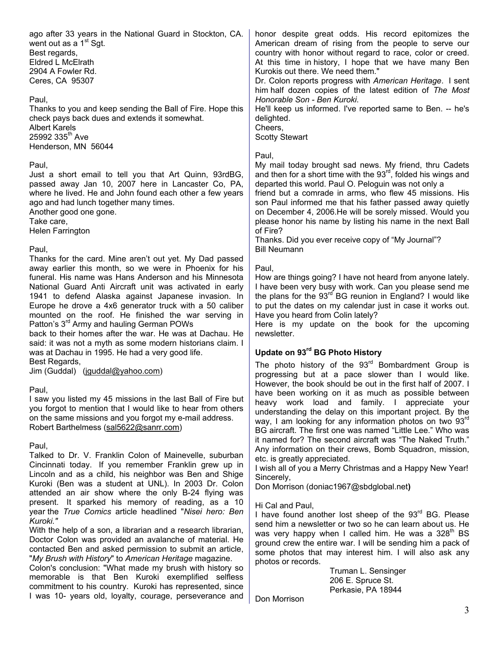ago after 33 years in the National Guard in Stockton, CA. went out as a 1<sup>st</sup> Sgt. Best regards, Eldred L McElrath 2904 A Fowler Rd. Ceres, CA 95307

Paul,

Thanks to you and keep sending the Ball of Fire. Hope this check pays back dues and extends it somewhat. Albert Karels  $25992335$ <sup>th</sup> Ave Henderson, MN 56044

#### Paul,

Just a short email to tell you that Art Quinn, 93rdBG, passed away Jan 10, 2007 here in Lancaster Co, PA, where he lived. He and John found each other a few years ago and had lunch together many times.

Another good one gone.

Take care,

Helen Farrington

#### Paul,

Thanks for the card. Mine aren't out yet. My Dad passed away earlier this month, so we were in Phoenix for his funeral. His name was Hans Anderson and his Minnesota National Guard Anti Aircraft unit was activated in early 1941 to defend Alaska against Japanese invasion. In Europe he drove a 4x6 generator truck with a 50 caliber mounted on the roof. He finished the war serving in Patton's 3<sup>rd</sup> Army and hauling German POWs

back to their homes after the war. He was at Dachau. He said: it was not a myth as some modern historians claim. I was at Dachau in 1995. He had a very good life. Best Regards,

Jim (Guddal) (jguddal@yahoo.com)

#### Paul,

I saw you listed my 45 missions in the last Ball of Fire but you forgot to mention that I would like to hear from others on the same missions and you forgot my e-mail address. Robert Barthelmess (sal5622@sanrr.com)

Paul,

Talked to Dr. V. Franklin Colon of Mainevelle, suburban Cincinnati today. If you remember Franklin grew up in Lincoln and as a child, his neighbor was Ben and Shige Kuroki (Ben was a student at UNL). In 2003 Dr. Colon attended an air show where the only B-24 flying was present. It sparked his memory of reading, as a 10 year the *True Comics* article headlined "*Nisei hero: Ben Kuroki."*

With the help of a son, a librarian and a research librarian, Doctor Colon was provided an avalanche of material. He contacted Ben and asked permission to submit an article, "*My Brush with History*" to *American Heritage* magazine.

Colon's conclusion: "What made my brush with history so memorable is that Ben Kuroki exemplified selfless commitment to his country. Kuroki has represented, since I was 10- years old, loyalty, courage, perseverance and honor despite great odds. His record epitomizes the American dream of rising from the people to serve our country with honor without regard to race, color or creed. At this time in history, I hope that we have many Ben Kurokis out there. We need them."

Dr. Colon reports progress with *American Heritage*. I sent him half dozen copies of the latest edition of *The Most Honorable Son - Ben Kuroki*.

He'll keep us informed. I've reported same to Ben. -- he's delighted.

Cheers,

Scotty Stewart

Paul,

My mail today brought sad news. My friend, thru Cadets and then for a short time with the  $93<sup>rd</sup>$ , folded his wings and departed this world. Paul O. Peloguin was not only a

friend but a comrade in arms, who flew 45 missions. His son Paul informed me that his father passed away quietly on December 4, 2006.He will be sorely missed. Would you please honor his name by listing his name in the next Ball of Fire?

Thanks. Did you ever receive copy of "My Journal"? Bill Neumann

Paul,

How are things going? I have not heard from anyone lately. I have been very busy with work. Can you please send me the plans for the  $93^{\text{rd}}$  BG reunion in England? I would like to put the dates on my calendar just in case it works out. Have you heard from Colin lately?

Here is my update on the book for the upcoming newsletter.

### **Update on 93rd BG Photo History**

The photo history of the  $93<sup>rd</sup>$  Bombardment Group is progressing but at a pace slower than I would like. However, the book should be out in the first half of 2007. I have been working on it as much as possible between heavy work load and family. I appreciate your understanding the delay on this important project. By the way, I am looking for any information photos on two 93rd BG aircraft. The first one was named "Little Lee." Who was it named for? The second aircraft was "The Naked Truth." Any information on their crews, Bomb Squadron, mission, etc. is greatly appreciated.

I wish all of you a Merry Christmas and a Happy New Year! Sincerely,

Don Morrison (doniac1967@sbdglobal.net**)** 

Hi Cal and Paul,

I have found another lost sheep of the  $93<sup>rd</sup>$  BG. Please send him a newsletter or two so he can learn about us. He was very happy when I called him. He was a  $328<sup>th</sup>$  BS ground crew the entire war. I will be sending him a pack of some photos that may interest him. I will also ask any photos or records.

> Truman L. Sensinger 206 E. Spruce St. Perkasie, PA 18944

Don Morrison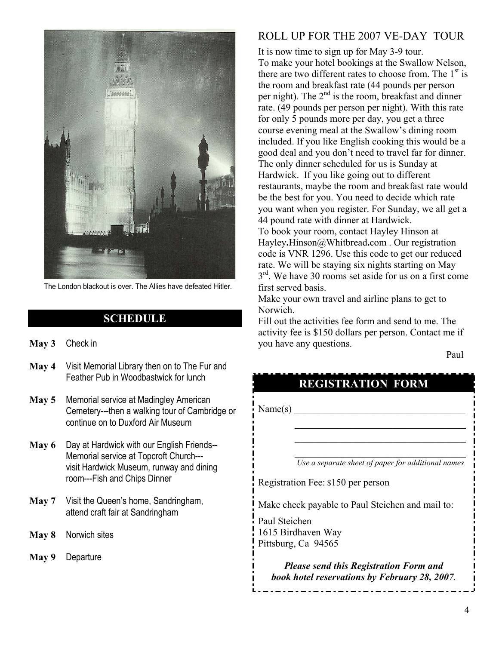

The London blackout is over. The Allies have defeated Hitler.

## **SCHEDULE**

- **May 3** Check in
- **May 4** Visit Memorial Library then on to The Fur and Feather Pub in Woodbastwick for lunch
- **May 5** Memorial service at Madingley American Cemetery---then a walking tour of Cambridge or continue on to Duxford Air Museum
- **May 6** Day at Hardwick with our English Friends-- Memorial service at Topcroft Church-- visit Hardwick Museum, runway and dining room---Fish and Chips Dinner
- **May 7** Visit the Queen's home, Sandringham, attend craft fair at Sandringham
- **May 8** Norwich sites
- **May 9** Departure

## ROLL UP FOR THE 2007 VE-DAY TOUR

It is now time to sign up for May 3-9 tour. To make your hotel bookings at the Swallow Nelson, there are two different rates to choose from. The  $1<sup>st</sup>$  is the room and breakfast rate (44 pounds per person per night). The  $2<sup>nd</sup>$  is the room, breakfast and dinner rate. (49 pounds per person per night). With this rate for only 5 pounds more per day, you get a three course evening meal at the Swallow's dining room included. If you like English cooking this would be a good deal and you don't need to travel far for dinner. The only dinner scheduled for us is Sunday at Hardwick. If you like going out to different restaurants, maybe the room and breakfast rate would be the best for you. You need to decide which rate you want when you register. For Sunday, we all get a 44 pound rate with dinner at Hardwick. To book your room, contact Hayley Hinson at

Hayley**.**Hinson@Whitbread**.**com . Our registration code is VNR 1296. Use this code to get our reduced rate. We will be staying six nights starting on May  $3<sup>rd</sup>$ . We have 30 rooms set aside for us on a first come first served basis.

Make your own travel and airline plans to get to Norwich.

Fill out the activities fee form and send to me. The activity fee is \$150 dollars per person. Contact me if you have any questions.

Paul Paul

# **REGISTRATION FORM**

 $\mathcal{L}_\text{max} = \frac{1}{2} \sum_{i=1}^{n} \frac{1}{2} \sum_{i=1}^{n} \frac{1}{2} \sum_{i=1}^{n} \frac{1}{2} \sum_{i=1}^{n} \frac{1}{2} \sum_{i=1}^{n} \frac{1}{2} \sum_{i=1}^{n} \frac{1}{2} \sum_{i=1}^{n} \frac{1}{2} \sum_{i=1}^{n} \frac{1}{2} \sum_{i=1}^{n} \frac{1}{2} \sum_{i=1}^{n} \frac{1}{2} \sum_{i=1}^{n} \frac{1}{2} \sum_{i=1}^{n} \frac{1$  $\mathcal{L}_\text{max} = \frac{1}{2} \sum_{i=1}^{n} \frac{1}{2} \sum_{i=1}^{n} \frac{1}{2} \sum_{i=1}^{n} \frac{1}{2} \sum_{i=1}^{n} \frac{1}{2} \sum_{i=1}^{n} \frac{1}{2} \sum_{i=1}^{n} \frac{1}{2} \sum_{i=1}^{n} \frac{1}{2} \sum_{i=1}^{n} \frac{1}{2} \sum_{i=1}^{n} \frac{1}{2} \sum_{i=1}^{n} \frac{1}{2} \sum_{i=1}^{n} \frac{1}{2} \sum_{i=1}^{n} \frac{1$  $\mathcal{L}_\text{max} = \frac{1}{2} \sum_{i=1}^{n} \frac{1}{2} \sum_{i=1}^{n} \frac{1}{2} \sum_{i=1}^{n} \frac{1}{2} \sum_{i=1}^{n} \frac{1}{2} \sum_{i=1}^{n} \frac{1}{2} \sum_{i=1}^{n} \frac{1}{2} \sum_{i=1}^{n} \frac{1}{2} \sum_{i=1}^{n} \frac{1}{2} \sum_{i=1}^{n} \frac{1}{2} \sum_{i=1}^{n} \frac{1}{2} \sum_{i=1}^{n} \frac{1}{2} \sum_{i=1}^{n} \frac{1$ 

 $Name(s)$ 

ı

 *Use a separate sheet of paper for additional names*

Registration Fee: \$150 per person

Make check payable to Paul Steichen and mail to:

Paul Steichen 1615 Birdhaven Way Pittsburg, Ca 94565

> *Please send this Registration Form and book hotel reservations by February 28, 2007.*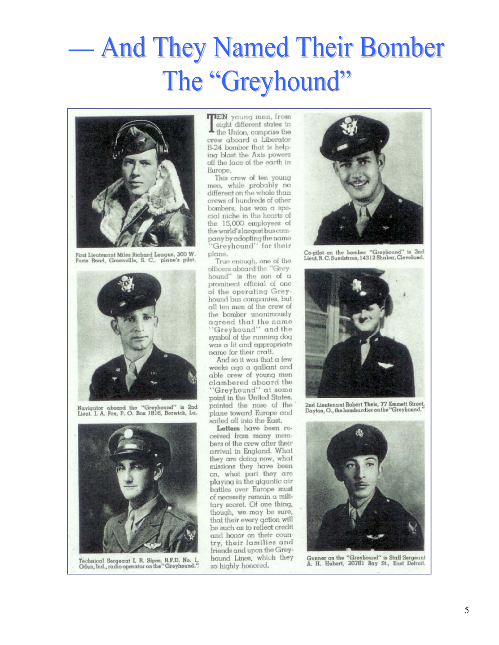# **And They Named Their Bomber**  $\overline{\phantom{0}}$ The "Greyhound"



First Lieutenant Miles Richard League, 300 W. Faris Road, Greenville, S. C., plane's pilot.



Navigator aboard the "Greyhound" is 2nd<br>Lieut. J. A. Fox, P. O. Box 1816, Berwick, La.



Technical Sergeant I. R. Sipes, R.F.D. No. 1,<br>Odun, Ind., radio operator on the "Greyhound."

**TIEN** young men, from eight different states in the Union, comprise the crew aboard a Liberator B-24 bomber that is helping blast the Axis powers off the face of the earth in Europe.

This crew of ten young men, while probably no different on the whole than crews of hundreds of other bombers, has won a special niche in the hearts of the 15,000 employees of the world's largest bus company by adopting the name 'Greyhound' for their plane.

True enough, one of the officers aboard the "Greyhound" is the son of a prominent official of one of the operating Greyhound bus companies, but all ten men of the crew of the bomber unanimously agreed that the name "Greyhound" and the symbol of the running dog

was a fit and appropriate name for their craft. And so it was that a few

weeks ago a gallant and able crew of young men clambered aboard the "Greyhound" at some point in the United States,

pointed the nose of the plane toward Europe and sailed off into the East.

Letters have been received from many members of the crew after their arrival in England. What they are doing now, what missions they have been on, what part they are playing in the gigantic air battles over Europe must of necessity remain a military secret. Of one thing, though, we may be sure, that their every action will be such as to reflect credit and honor on their country, their families and friends and upon the Greyhound Lines, which they so highly honored.



Co-pilot on the homber "Greyhound" is 2nd Lieut, R.C. Sundstrom, 14312 Shaker, Cleveland.



2nd Lieutenant Robert Theis, 77 Emmett Street, Dayton, O., the hombardier on the "Greyhound.



Gunner on the "Greyhound" is Staff Sergeant A. H. Hubert, 20781 Ray St., East Detroit.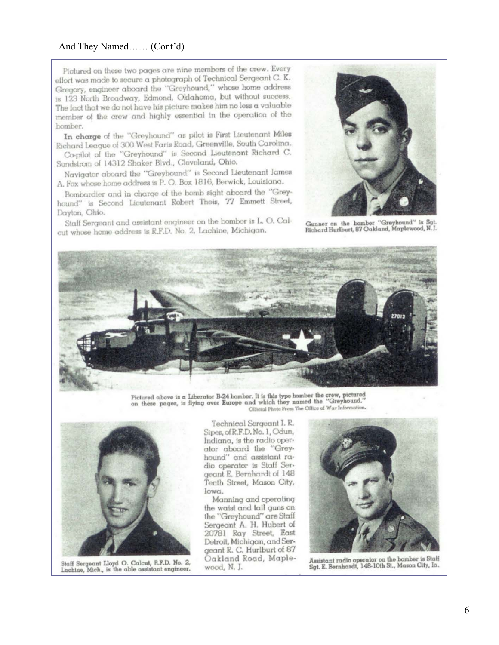#### And They Named...... (Cont'd)

Pictured on these two pages are nine members of the crew. Every elfort was made to secure a photograph of Technical Sergeant C. K. Gregory, engineer aboard the "Greyhound," whose home address is 123 North Broadway, Edmond, Oklahoma, but without success. The fact that we do not have his picture makes him no less a valuable member of the crew and highly essential in the operation of the bomber.

In charge of the "Greyhound" as pilot is First Lieutenant Miles Richard League of 300 West Faris Road, Greenville, South Carolina.

Co-pilot of the "Greyhound" is Second Lieutenant Richard C. Sundstrom of 14312 Shaker Blvd., Cleveland, Ohio.

Navigator aboard the "Greyhound" is Second Lieutenant James A. Fox whose home address is P. O. Box 1816, Berwick, Louisiana.

Bombardier and in charge of the bomb sight aboard the "Greyhound" is Second Lieutenant Robert Theis, 77 Emmett Street, Dayton, Ohio.

Staff Sergeant and assistant engineer on the bomber is L. O. Calcut whose home address is R.F.D. No. 2, Lachine, Michigan.



Gunner on the bomber "Greyhound" is Sqt. Richard Hurlburt, 87 Oakland, Maplewood, N.J.



Pictured above is a Liberator B-24 bomber. It is this type bomber the crew, pictured on these pages, is flying over Europe and which they named the "Greyhound." Olficial Photo From The Office of War Information.



Staff Sergeant Lloyd O. Calcut, R.F.D. No. 2, Lachine, Mich., is the able assistant engineer.

Technical Sergeant I.R. Sipes, of R.F.D. No. 1, Odun, Indiana, is the radio operator aboard the "Greyhound" and assistant radio operator is Staff Sergeant E. Bernhardt of 148 Tenth Street, Mason City, Iowa.

Manning and operating the waist and tail guns on the "Greyhound" are Staff Sergeant A. H. Hubert of 20781 Ray Street, East Detroit, Michigan, and Sergeant R. C. Hurlburt of 87<br>Oakland Road, Maplewood, N. J.



Assistant radio operator on the homber is Staff Sgt. E. Bernhardt, 148-10th St., Mason City, Ia.